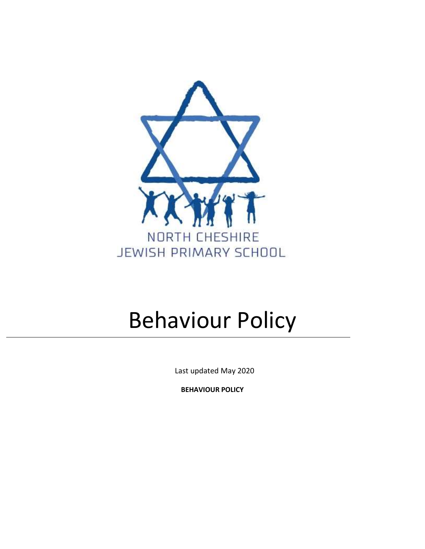

# Behaviour Policy

Last updated May 2020

**BEHAVIOUR POLICY**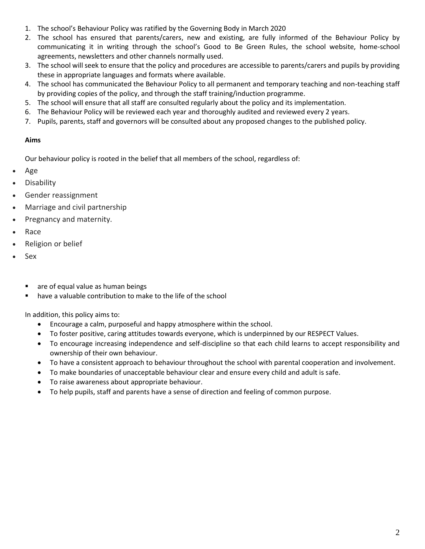- 1. The school's Behaviour Policy was ratified by the Governing Body in March 2020
- 2. The school has ensured that parents/carers, new and existing, are fully informed of the Behaviour Policy by communicating it in writing through the school's Good to Be Green Rules, the school website, home-school agreements, newsletters and other channels normally used.
- 3. The school will seek to ensure that the policy and procedures are accessible to parents/carers and pupils by providing these in appropriate languages and formats where available.
- 4. The school has communicated the Behaviour Policy to all permanent and temporary teaching and non-teaching staff by providing copies of the policy, and through the staff training/induction programme.
- 5. The school will ensure that all staff are consulted regularly about the policy and its implementation.
- 6. The Behaviour Policy will be reviewed each year and thoroughly audited and reviewed every 2 years.
- 7. Pupils, parents, staff and governors will be consulted about any proposed changes to the published policy.

## **Aims**

Our behaviour policy is rooted in the belief that all members of the school, regardless of:

- Age
- Disability
- Gender reassignment
- Marriage and civil partnership
- Pregnancy and maternity.
- Race
- Religion or belief
- Sex
	- are of equal value as human beings
	- have a valuable contribution to make to the life of the school

In addition, this policy aims to:

- Encourage a calm, purposeful and happy atmosphere within the school.
- To foster positive, caring attitudes towards everyone, which is underpinned by our RESPECT Values.
- To encourage increasing independence and self-discipline so that each child learns to accept responsibility and ownership of their own behaviour.
- To have a consistent approach to behaviour throughout the school with parental cooperation and involvement.
- To make boundaries of unacceptable behaviour clear and ensure every child and adult is safe.
- To raise awareness about appropriate behaviour.
- To help pupils, staff and parents have a sense of direction and feeling of common purpose.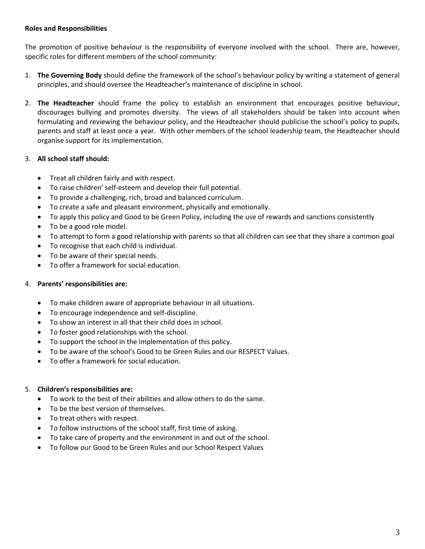## **Roles and Responsibilities**

The promotion of positive behaviour is the responsibility of everyone involved with the school. There are, however, specific roles for different members of the school community:

- 1. **The Governing Body** should define the framework of the school's behaviour policy by writing a statement of general principles, and should oversee the Headteacher's maintenance of discipline in school.
- 2. **The Headteacher** should frame the policy to establish an environment that encourages positive behaviour, discourages bullying and promotes diversity. The views of all stakeholders should be taken into account when formulating and reviewing the behaviour policy, and the Headteacher should publicise the school's policy to pupils, parents and staff at least once a year. With other members of the school leadership team, the Headteacher should organise support for its implementation.

# 3. **All school staff should:**

- Treat all children fairly and with respect.
- To raise children' self-esteem and develop their full potential.
- To provide a challenging, rich, broad and balanced curriculum.
- To create a safe and pleasant environment, physically and emotionally.
- To apply this policy and Good to be Green Policy, including the use of rewards and sanctions consistently
- To be a good role model.
- To attempt to form a good relationship with parents so that all children can see that they share a common goal
- To recognise that each child is individual.
- To be aware of their special needs.
- To offer a framework for social education.

# 4. **Parents' responsibilities are:**

- To make children aware of appropriate behaviour in all situations.
- To encourage independence and self-discipline.
- To show an interest in all that their child does in school.
- To foster good relationships with the school.
- To support the school in the implementation of this policy.
- To be aware of the school's Good to be Green Rules and our RESPECT Values.
- To offer a framework for social education.

# 5. **Children's responsibilities are:**

- To work to the best of their abilities and allow others to do the same.
- To be the best version of themselves.
- To treat others with respect.
- To follow instructions of the school staff, first time of asking.
- To take care of property and the environment in and out of the school.
- To follow our Good to be Green Rules and our School Respect Values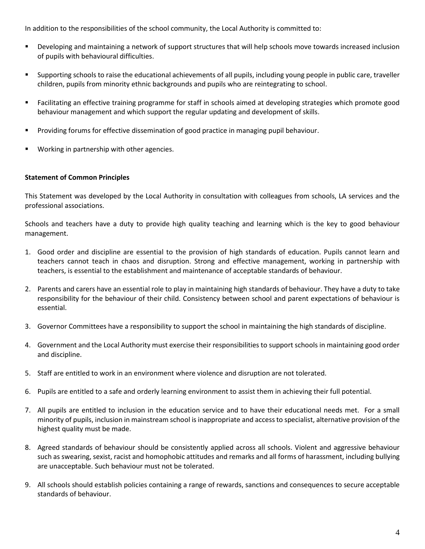In addition to the responsibilities of the school community, the Local Authority is committed to:

- Developing and maintaining a network of support structures that will help schools move towards increased inclusion of pupils with behavioural difficulties.
- Supporting schools to raise the educational achievements of all pupils, including young people in public care, traveller children, pupils from minority ethnic backgrounds and pupils who are reintegrating to school.
- Facilitating an effective training programme for staff in schools aimed at developing strategies which promote good behaviour management and which support the regular updating and development of skills.
- **Providing forums for effective dissemination of good practice in managing pupil behaviour.**
- Working in partnership with other agencies.

## **Statement of Common Principles**

This Statement was developed by the Local Authority in consultation with colleagues from schools, LA services and the professional associations.

Schools and teachers have a duty to provide high quality teaching and learning which is the key to good behaviour management.

- 1. Good order and discipline are essential to the provision of high standards of education. Pupils cannot learn and teachers cannot teach in chaos and disruption. Strong and effective management, working in partnership with teachers, is essential to the establishment and maintenance of acceptable standards of behaviour.
- 2. Parents and carers have an essential role to play in maintaining high standards of behaviour. They have a duty to take responsibility for the behaviour of their child. Consistency between school and parent expectations of behaviour is essential.
- 3. Governor Committees have a responsibility to support the school in maintaining the high standards of discipline.
- 4. Government and the Local Authority must exercise their responsibilities to support schools in maintaining good order and discipline.
- 5. Staff are entitled to work in an environment where violence and disruption are not tolerated.
- 6. Pupils are entitled to a safe and orderly learning environment to assist them in achieving their full potential.
- 7. All pupils are entitled to inclusion in the education service and to have their educational needs met. For a small minority of pupils, inclusion in mainstream school is inappropriate and access to specialist, alternative provision of the highest quality must be made.
- 8. Agreed standards of behaviour should be consistently applied across all schools. Violent and aggressive behaviour such as swearing, sexist, racist and homophobic attitudes and remarks and all forms of harassment, including bullying are unacceptable. Such behaviour must not be tolerated.
- 9. All schools should establish policies containing a range of rewards, sanctions and consequences to secure acceptable standards of behaviour.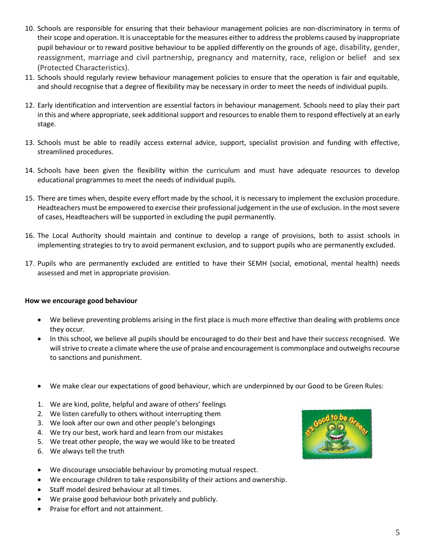- 10. Schools are responsible for ensuring that their behaviour management policies are non-discriminatory in terms of their scope and operation. It is unacceptable for the measures either to address the problems caused by inappropriate pupil behaviour or to reward positive behaviour to be applied differently on the grounds of age, disability, gender, reassignment, marriage and civil partnership, pregnancy and maternity, race, religion or belief and sex (Protected Characteristics).
- 11. Schools should regularly review behaviour management policies to ensure that the operation is fair and equitable, and should recognise that a degree of flexibility may be necessary in order to meet the needs of individual pupils.
- 12. Early identification and intervention are essential factors in behaviour management. Schools need to play their part in this and where appropriate, seek additional support and resources to enable them to respond effectively at an early stage.
- 13. Schools must be able to readily access external advice, support, specialist provision and funding with effective, streamlined procedures.
- 14. Schools have been given the flexibility within the curriculum and must have adequate resources to develop educational programmes to meet the needs of individual pupils.
- 15. There are times when, despite every effort made by the school, it is necessary to implement the exclusion procedure. Headteachers must be empowered to exercise their professional judgement in the use of exclusion. In the most severe of cases, Headteachers will be supported in excluding the pupil permanently.
- 16. The Local Authority should maintain and continue to develop a range of provisions, both to assist schools in implementing strategies to try to avoid permanent exclusion, and to support pupils who are permanently excluded.
- 17. Pupils who are permanently excluded are entitled to have their SEMH (social, emotional, mental health) needs assessed and met in appropriate provision.

## **How we encourage good behaviour**

- We believe preventing problems arising in the first place is much more effective than dealing with problems once they occur.
- In this school, we believe all pupils should be encouraged to do their best and have their success recognised. We will strive to create a climate where the use of praise and encouragement is commonplace and outweighs recourse to sanctions and punishment.
- We make clear our expectations of good behaviour, which are underpinned by our Good to be Green Rules:
- 1. We are kind, polite, helpful and aware of others' feelings
- 2. We listen carefully to others without interrupting them
- 3. We look after our own and other people's belongings
- 4. We try our best, work hard and learn from our mistakes
- 5. We treat other people, the way we would like to be treated
- 6. We always tell the truth
- We discourage unsociable behaviour by promoting mutual respect.
- We encourage children to take responsibility of their actions and ownership.
- Staff model desired behaviour at all times.
- We praise good behaviour both privately and publicly.
- Praise for effort and not attainment.

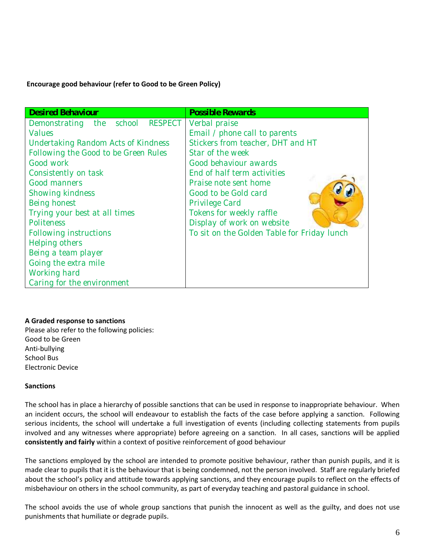## **Encourage good behaviour (refer to Good to be Green Policy)**

| <b>Desired Behaviour</b>             | <b>Possible Rewards</b>                     |
|--------------------------------------|---------------------------------------------|
| Demonstrating the school RESPECT     | Verbal praise                               |
| <b>Values</b>                        | Email / phone call to parents               |
| Undertaking Random Acts of Kindness  | Stickers from teacher, DHT and HT           |
| Following the Good to be Green Rules | Star of the week                            |
| Good work                            | Good behaviour awards                       |
| Consistently on task                 | End of half term activities                 |
| Good manners                         | Praise note sent home                       |
| Showing kindness                     | Good to be Gold card                        |
| Being honest                         | Privilege Card                              |
| Trying your best at all times        | Tokens for weekly raffle                    |
| Politeness                           | Display of work on website                  |
| Following instructions               | To sit on the Golden Table for Friday lunch |
| Helping others                       |                                             |
| Being a team player                  |                                             |
| Going the extra mile                 |                                             |
| Working hard                         |                                             |
| Caring for the environment           |                                             |

## **A Graded response to sanctions**

Please also refer to the following policies: Good to be Green Anti-bullying School Bus Electronic Device

## **Sanctions**

The school has in place a hierarchy of possible sanctions that can be used in response to inappropriate behaviour. When an incident occurs, the school will endeavour to establish the facts of the case before applying a sanction. Following serious incidents, the school will undertake a full investigation of events (including collecting statements from pupils involved and any witnesses where appropriate) before agreeing on a sanction. In all cases, sanctions will be applied **consistently and fairly** within a context of positive reinforcement of good behaviour

The sanctions employed by the school are intended to promote positive behaviour, rather than punish pupils, and it is made clear to pupils that it is the behaviour that is being condemned, not the person involved. Staff are regularly briefed about the school's policy and attitude towards applying sanctions, and they encourage pupils to reflect on the effects of misbehaviour on others in the school community, as part of everyday teaching and pastoral guidance in school.

The school avoids the use of whole group sanctions that punish the innocent as well as the guilty, and does not use punishments that humiliate or degrade pupils.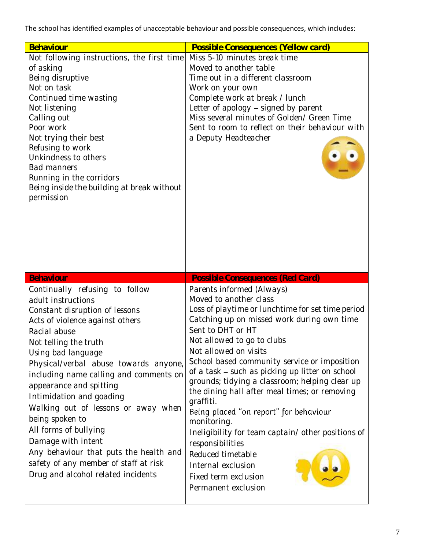The school has identified examples of unacceptable behaviour and possible consequences, which includes:

| Behaviour                                                                                                                                                                                                                                                                                                                                                                                                                                                                                                                                                            | Possible Consequences (Yellow card)                                                                                                                                                                                                                                                                                                                                                                                                                                                                                                                                                                                                |
|----------------------------------------------------------------------------------------------------------------------------------------------------------------------------------------------------------------------------------------------------------------------------------------------------------------------------------------------------------------------------------------------------------------------------------------------------------------------------------------------------------------------------------------------------------------------|------------------------------------------------------------------------------------------------------------------------------------------------------------------------------------------------------------------------------------------------------------------------------------------------------------------------------------------------------------------------------------------------------------------------------------------------------------------------------------------------------------------------------------------------------------------------------------------------------------------------------------|
| Not following instructions, the first time<br>of asking<br>Being disruptive<br>Not on task<br>Continued time wasting<br>Not listening<br>Calling out<br>Poor work<br>Not trying their best<br>Refusing to work<br>Unkindness to others<br><b>Bad manners</b><br>Running in the corridors<br>Being inside the building at break without<br>permission                                                                                                                                                                                                                 | Miss 5-10 minutes break time<br>Moved to another table<br>Time out in a different classroom<br>Work on your own<br>Complete work at break / lunch<br>Letter of apology - signed by parent<br>Miss several minutes of Golden/ Green Time<br>Sent to room to reflect on their behaviour with<br>a Deputy Headteacher                                                                                                                                                                                                                                                                                                                 |
| <b>Behaviour</b>                                                                                                                                                                                                                                                                                                                                                                                                                                                                                                                                                     | <b>Possible Consequences (Red Card)</b>                                                                                                                                                                                                                                                                                                                                                                                                                                                                                                                                                                                            |
| Continually refusing to follow<br>adult instructions<br>Constant disruption of lessons<br>Acts of violence against others<br>Racial abuse<br>Not telling the truth<br>Using bad language<br>Physical/verbal abuse towards anyone,<br>including name calling and comments on<br>appearance and spitting<br>Intimidation and goading<br>Walking out of lessons or away when<br>being spoken to<br>All forms of bullying<br>Damage with intent<br>Any behaviour that puts the health and<br>safety of any member of staff at risk<br>Drug and alcohol related incidents | Parents informed (Always)<br>Moved to another class<br>Loss of playtime or lunchtime for set time period<br>Catching up on missed work during own time<br>Sent to DHT or HT<br>Not allowed to go to clubs<br>Not allowed on visits<br>School based community service or imposition<br>of a task - such as picking up litter on school<br>grounds; tidying a classroom; helping clear up<br>the dining hall after meal times; or removing<br>graffiti.<br>Being placed "on report" for behaviour<br>monitoring.<br>Ineligibility for team captain/other positions of<br>responsibilities<br>Reduced timetable<br>Internal exclusion |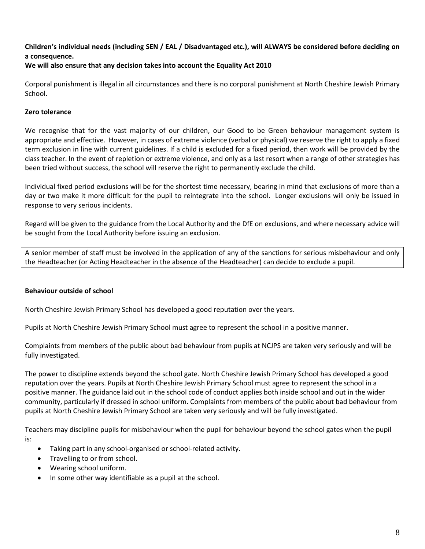# **Children's individual needs (including SEN / EAL / Disadvantaged etc.), will ALWAYS be considered before deciding on a consequence.**

## **We will also ensure that any decision takes into account the Equality Act 2010**

Corporal punishment is illegal in all circumstances and there is no corporal punishment at North Cheshire Jewish Primary School.

## **Zero tolerance**

We recognise that for the vast majority of our children, our Good to be Green behaviour management system is appropriate and effective. However, in cases of extreme violence (verbal or physical) we reserve the right to apply a fixed term exclusion in line with current guidelines. If a child is excluded for a fixed period, then work will be provided by the class teacher. In the event of repletion or extreme violence, and only as a last resort when a range of other strategies has been tried without success, the school will reserve the right to permanently exclude the child.

Individual fixed period exclusions will be for the shortest time necessary, bearing in mind that exclusions of more than a day or two make it more difficult for the pupil to reintegrate into the school. Longer exclusions will only be issued in response to very serious incidents.

Regard will be given to the guidance from the Local Authority and the DfE on exclusions, and where necessary advice will be sought from the Local Authority before issuing an exclusion.

A senior member of staff must be involved in the application of any of the sanctions for serious misbehaviour and only the Headteacher (or Acting Headteacher in the absence of the Headteacher) can decide to exclude a pupil.

## **Behaviour outside of school**

North Cheshire Jewish Primary School has developed a good reputation over the years.

Pupils at North Cheshire Jewish Primary School must agree to represent the school in a positive manner.

Complaints from members of the public about bad behaviour from pupils at NCJPS are taken very seriously and will be fully investigated.

The power to discipline extends beyond the school gate. North Cheshire Jewish Primary School has developed a good reputation over the years. Pupils at North Cheshire Jewish Primary School must agree to represent the school in a positive manner. The guidance laid out in the school code of conduct applies both inside school and out in the wider community, particularly if dressed in school uniform. Complaints from members of the public about bad behaviour from pupils at North Cheshire Jewish Primary School are taken very seriously and will be fully investigated.

Teachers may discipline pupils for misbehaviour when the pupil for behaviour beyond the school gates when the pupil is:

- Taking part in any school-organised or school-related activity.
- Travelling to or from school.
- Wearing school uniform.
- In some other way identifiable as a pupil at the school.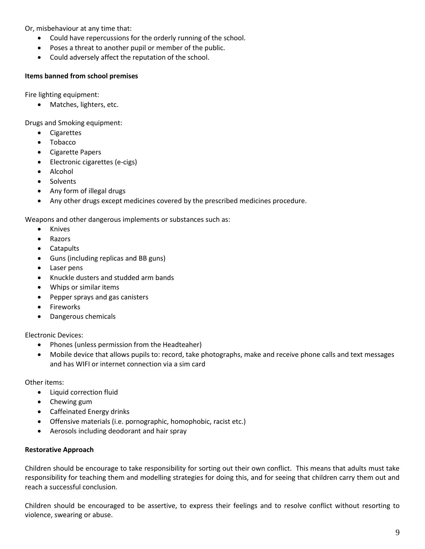Or, misbehaviour at any time that:

- Could have repercussions for the orderly running of the school.
- Poses a threat to another pupil or member of the public.
- Could adversely affect the reputation of the school.

## **Items banned from school premises**

Fire lighting equipment:

• Matches, lighters, etc.

Drugs and Smoking equipment:

- Cigarettes
- Tobacco
- Cigarette Papers
- Electronic cigarettes (e-cigs)
- Alcohol
- Solvents
- Any form of illegal drugs
- Any other drugs except medicines covered by the prescribed medicines procedure.

Weapons and other dangerous implements or substances such as:

- Knives
- Razors
- Catapults
- Guns (including replicas and BB guns)
- Laser pens
- Knuckle dusters and studded arm bands
- Whips or similar items
- Pepper sprays and gas canisters
- Fireworks
- Dangerous chemicals

Electronic Devices:

- Phones (unless permission from the Headteaher)
- Mobile device that allows pupils to: record, take photographs, make and receive phone calls and text messages and has WIFI or internet connection via a sim card

Other items:

- Liquid correction fluid
- Chewing gum
- Caffeinated Energy drinks
- Offensive materials (i.e. pornographic, homophobic, racist etc.)
- Aerosols including deodorant and hair spray

## **Restorative Approach**

Children should be encourage to take responsibility for sorting out their own conflict. This means that adults must take responsibility for teaching them and modelling strategies for doing this, and for seeing that children carry them out and reach a successful conclusion.

Children should be encouraged to be assertive, to express their feelings and to resolve conflict without resorting to violence, swearing or abuse.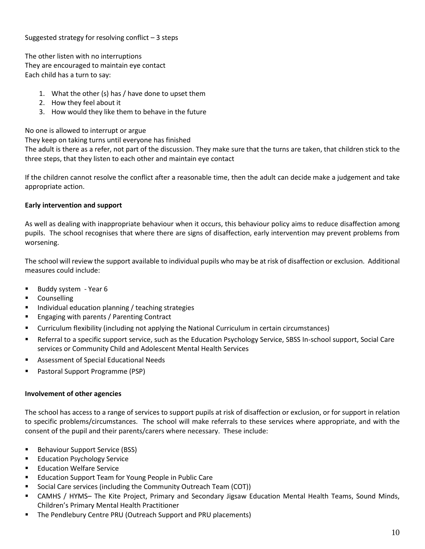Suggested strategy for resolving conflict  $-3$  steps

The other listen with no interruptions They are encouraged to maintain eye contact Each child has a turn to say:

- 1. What the other (s) has / have done to upset them
- 2. How they feel about it
- 3. How would they like them to behave in the future

No one is allowed to interrupt or argue

They keep on taking turns until everyone has finished

The adult is there as a refer, not part of the discussion. They make sure that the turns are taken, that children stick to the three steps, that they listen to each other and maintain eye contact

If the children cannot resolve the conflict after a reasonable time, then the adult can decide make a judgement and take appropriate action.

## **Early intervention and support**

As well as dealing with inappropriate behaviour when it occurs, this behaviour policy aims to reduce disaffection among pupils. The school recognises that where there are signs of disaffection, early intervention may prevent problems from worsening.

The school will review the support available to individual pupils who may be at risk of disaffection or exclusion. Additional measures could include:

- **Buddy system Year 6**
- **Counselling**
- Individual education planning / teaching strategies
- Engaging with parents / Parenting Contract
- Curriculum flexibility (including not applying the National Curriculum in certain circumstances)
- Referral to a specific support service, such as the Education Psychology Service, SBSS In-school support, Social Care services or Community Child and Adolescent Mental Health Services
- Assessment of Special Educational Needs
- Pastoral Support Programme (PSP)

## **Involvement of other agencies**

The school has access to a range of services to support pupils at risk of disaffection or exclusion, or for support in relation to specific problems/circumstances. The school will make referrals to these services where appropriate, and with the consent of the pupil and their parents/carers where necessary. These include:

- **Behaviour Support Service (BSS)**
- **Education Psychology Service**
- Education Welfare Service
- Education Support Team for Young People in Public Care
- Social Care services (including the Community Outreach Team (COT))
- CAMHS / HYMS– The Kite Project, Primary and Secondary Jigsaw Education Mental Health Teams, Sound Minds, Children's Primary Mental Health Practitioner
- The Pendlebury Centre PRU (Outreach Support and PRU placements)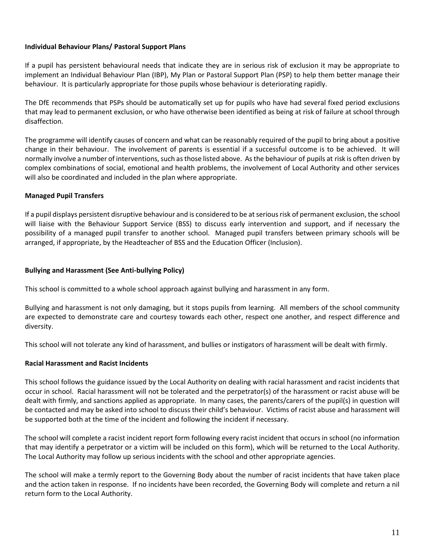## **Individual Behaviour Plans/ Pastoral Support Plans**

If a pupil has persistent behavioural needs that indicate they are in serious risk of exclusion it may be appropriate to implement an Individual Behaviour Plan (IBP), My Plan or Pastoral Support Plan (PSP) to help them better manage their behaviour. It is particularly appropriate for those pupils whose behaviour is deteriorating rapidly.

The DfE recommends that PSPs should be automatically set up for pupils who have had several fixed period exclusions that may lead to permanent exclusion, or who have otherwise been identified as being at risk of failure at school through disaffection.

The programme will identify causes of concern and what can be reasonably required of the pupil to bring about a positive change in their behaviour. The involvement of parents is essential if a successful outcome is to be achieved. It will normally involve a number of interventions, such as those listed above. As the behaviour of pupils at risk is often driven by complex combinations of social, emotional and health problems, the involvement of Local Authority and other services will also be coordinated and included in the plan where appropriate.

## **Managed Pupil Transfers**

If a pupil displays persistent disruptive behaviour and is considered to be at serious risk of permanent exclusion, the school will liaise with the Behaviour Support Service (BSS) to discuss early intervention and support, and if necessary the possibility of a managed pupil transfer to another school. Managed pupil transfers between primary schools will be arranged, if appropriate, by the Headteacher of BSS and the Education Officer (Inclusion).

## **Bullying and Harassment (See Anti-bullying Policy)**

This school is committed to a whole school approach against bullying and harassment in any form.

Bullying and harassment is not only damaging, but it stops pupils from learning. All members of the school community are expected to demonstrate care and courtesy towards each other, respect one another, and respect difference and diversity.

This school will not tolerate any kind of harassment, and bullies or instigators of harassment will be dealt with firmly.

## **Racial Harassment and Racist Incidents**

This school follows the guidance issued by the Local Authority on dealing with racial harassment and racist incidents that occur in school. Racial harassment will not be tolerated and the perpetrator(s) of the harassment or racist abuse will be dealt with firmly, and sanctions applied as appropriate. In many cases, the parents/carers of the pupil(s) in question will be contacted and may be asked into school to discuss their child's behaviour. Victims of racist abuse and harassment will be supported both at the time of the incident and following the incident if necessary.

The school will complete a racist incident report form following every racist incident that occurs in school (no information that may identify a perpetrator or a victim will be included on this form), which will be returned to the Local Authority. The Local Authority may follow up serious incidents with the school and other appropriate agencies.

The school will make a termly report to the Governing Body about the number of racist incidents that have taken place and the action taken in response. If no incidents have been recorded, the Governing Body will complete and return a nil return form to the Local Authority.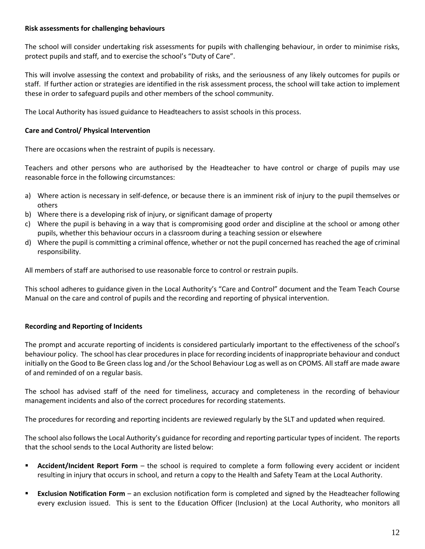## **Risk assessments for challenging behaviours**

The school will consider undertaking risk assessments for pupils with challenging behaviour, in order to minimise risks, protect pupils and staff, and to exercise the school's "Duty of Care".

This will involve assessing the context and probability of risks, and the seriousness of any likely outcomes for pupils or staff. If further action or strategies are identified in the risk assessment process, the school will take action to implement these in order to safeguard pupils and other members of the school community.

The Local Authority has issued guidance to Headteachers to assist schools in this process.

## **Care and Control/ Physical Intervention**

There are occasions when the restraint of pupils is necessary.

Teachers and other persons who are authorised by the Headteacher to have control or charge of pupils may use reasonable force in the following circumstances:

- a) Where action is necessary in self-defence, or because there is an imminent risk of injury to the pupil themselves or others
- b) Where there is a developing risk of injury, or significant damage of property
- c) Where the pupil is behaving in a way that is compromising good order and discipline at the school or among other pupils, whether this behaviour occurs in a classroom during a teaching session or elsewhere
- d) Where the pupil is committing a criminal offence, whether or not the pupil concerned has reached the age of criminal responsibility.

All members of staff are authorised to use reasonable force to control or restrain pupils.

This school adheres to guidance given in the Local Authority's "Care and Control" document and the Team Teach Course Manual on the care and control of pupils and the recording and reporting of physical intervention.

# **Recording and Reporting of Incidents**

The prompt and accurate reporting of incidents is considered particularly important to the effectiveness of the school's behaviour policy. The school has clear procedures in place for recording incidents of inappropriate behaviour and conduct initially on the Good to Be Green class log and /or the School Behaviour Log as well as on CPOMS. All staff are made aware of and reminded of on a regular basis.

The school has advised staff of the need for timeliness, accuracy and completeness in the recording of behaviour management incidents and also of the correct procedures for recording statements.

The procedures for recording and reporting incidents are reviewed regularly by the SLT and updated when required.

The school also follows the Local Authority's guidance for recording and reporting particular types of incident. The reports that the school sends to the Local Authority are listed below:

- **Accident/Incident Report Form** the school is required to complete a form following every accident or incident resulting in injury that occurs in school, and return a copy to the Health and Safety Team at the Local Authority.
- **Exclusion Notification Form**  an exclusion notification form is completed and signed by the Headteacher following every exclusion issued. This is sent to the Education Officer (Inclusion) at the Local Authority, who monitors all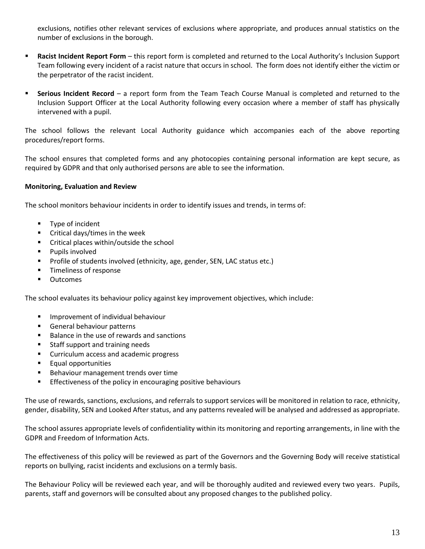exclusions, notifies other relevant services of exclusions where appropriate, and produces annual statistics on the number of exclusions in the borough.

- **Racist Incident Report Form** this report form is completed and returned to the Local Authority's Inclusion Support Team following every incident of a racist nature that occurs in school. The form does not identify either the victim or the perpetrator of the racist incident.
- **Serious Incident Record** a report form from the Team Teach Course Manual is completed and returned to the Inclusion Support Officer at the Local Authority following every occasion where a member of staff has physically intervened with a pupil.

The school follows the relevant Local Authority guidance which accompanies each of the above reporting procedures/report forms.

The school ensures that completed forms and any photocopies containing personal information are kept secure, as required by GDPR and that only authorised persons are able to see the information.

## **Monitoring, Evaluation and Review**

The school monitors behaviour incidents in order to identify issues and trends, in terms of:

- **Type of incident**
- **EXEC** Critical days/times in the week
- **EXECR** Critical places within/outside the school
- **Pupils involved**
- **Profile of students involved (ethnicity, age, gender, SEN, LAC status etc.)**
- **Timeliness of response**
- **•** Outcomes

The school evaluates its behaviour policy against key improvement objectives, which include:

- **Improvement of individual behaviour**
- General behaviour patterns
- Balance in the use of rewards and sanctions
- Staff support and training needs
- **EXECUTE:** Curriculum access and academic progress
- **Equal opportunities**
- Behaviour management trends over time
- **Effectiveness of the policy in encouraging positive behaviours**

The use of rewards, sanctions, exclusions, and referrals to support services will be monitored in relation to race, ethnicity, gender, disability, SEN and Looked After status, and any patterns revealed will be analysed and addressed as appropriate.

The school assures appropriate levels of confidentiality within its monitoring and reporting arrangements, in line with the GDPR and Freedom of Information Acts.

The effectiveness of this policy will be reviewed as part of the Governors and the Governing Body will receive statistical reports on bullying, racist incidents and exclusions on a termly basis.

The Behaviour Policy will be reviewed each year, and will be thoroughly audited and reviewed every two years. Pupils, parents, staff and governors will be consulted about any proposed changes to the published policy.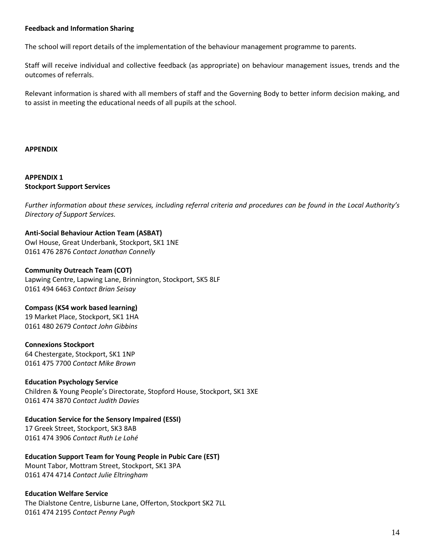## **Feedback and Information Sharing**

The school will report details of the implementation of the behaviour management programme to parents.

Staff will receive individual and collective feedback (as appropriate) on behaviour management issues, trends and the outcomes of referrals.

Relevant information is shared with all members of staff and the Governing Body to better inform decision making, and to assist in meeting the educational needs of all pupils at the school.

#### **APPENDIX**

## **APPENDIX 1 Stockport Support Services**

*Further information about these services, including referral criteria and procedures can be found in the Local Authority's Directory of Support Services.*

## **Anti-Social Behaviour Action Team (ASBAT)**

Owl House, Great Underbank, Stockport, SK1 1NE 0161 476 2876 *Contact Jonathan Connelly*

## **Community Outreach Team (COT)**

Lapwing Centre, Lapwing Lane, Brinnington, Stockport, SK5 8LF 0161 494 6463 *Contact Brian Seisay*

## **Compass (KS4 work based learning)**

19 Market Place, Stockport, SK1 1HA 0161 480 2679 *Contact John Gibbins*

## **Connexions Stockport**

64 Chestergate, Stockport, SK1 1NP 0161 475 7700 *Contact Mike Brown*

## **Education Psychology Service**

Children & Young People's Directorate, Stopford House, Stockport, SK1 3XE 0161 474 3870 *Contact Judith Davies*

# **Education Service for the Sensory Impaired (ESSI)**

17 Greek Street, Stockport, SK3 8AB 0161 474 3906 *Contact Ruth Le Lohé*

# **Education Support Team for Young People in Pubic Care (EST)**

Mount Tabor, Mottram Street, Stockport, SK1 3PA 0161 474 4714 *Contact Julie Eltringham*

## **Education Welfare Service**

The Dialstone Centre, Lisburne Lane, Offerton, Stockport SK2 7LL 0161 474 2195 *Contact Penny Pugh*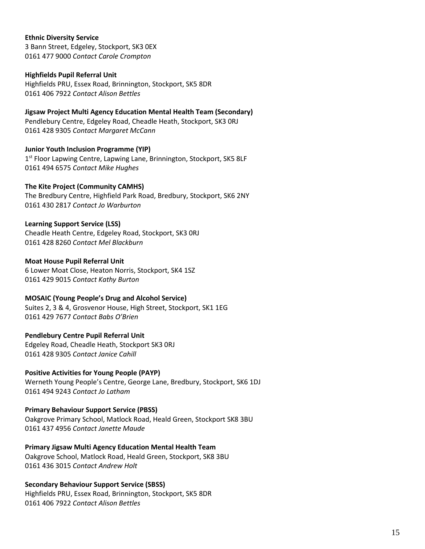## **Ethnic Diversity Service**

3 Bann Street, Edgeley, Stockport, SK3 0EX 0161 477 9000 *Contact Carole Crompton*

## **Highfields Pupil Referral Unit**

Highfields PRU, Essex Road, Brinnington, Stockport, SK5 8DR 0161 406 7922 *Contact Alison Bettles*

**Jigsaw Project Multi Agency Education Mental Health Team (Secondary)** Pendlebury Centre, Edgeley Road, Cheadle Heath, Stockport, SK3 0RJ 0161 428 9305 *Contact Margaret McCann*

**Junior Youth Inclusion Programme (YIP)** 1<sup>st</sup> Floor Lapwing Centre, Lapwing Lane, Brinnington, Stockport, SK5 8LF 0161 494 6575 *Contact Mike Hughes*

## **The Kite Project (Community CAMHS)**

The Bredbury Centre, Highfield Park Road, Bredbury, Stockport, SK6 2NY 0161 430 2817 *Contact Jo Warburton*

## **Learning Support Service (LSS)**

Cheadle Heath Centre, Edgeley Road, Stockport, SK3 0RJ 0161 428 8260 *Contact Mel Blackburn*

#### **Moat House Pupil Referral Unit**

6 Lower Moat Close, Heaton Norris, Stockport, SK4 1SZ 0161 429 9015 *Contact Kathy Burton*

## **MOSAIC (Young People's Drug and Alcohol Service)**

Suites 2, 3 & 4, Grosvenor House, High Street, Stockport, SK1 1EG 0161 429 7677 *Contact Babs O'Brien*

## **Pendlebury Centre Pupil Referral Unit**

Edgeley Road, Cheadle Heath, Stockport SK3 0RJ 0161 428 9305 *Contact Janice Cahill*

## **Positive Activities for Young People (PAYP)**

Werneth Young People's Centre, George Lane, Bredbury, Stockport, SK6 1DJ 0161 494 9243 *Contact Jo Latham*

**Primary Behaviour Support Service (PBSS)**

Oakgrove Primary School, Matlock Road, Heald Green, Stockport SK8 3BU 0161 437 4956 *Contact Janette Maude*

**Primary Jigsaw Multi Agency Education Mental Health Team**

Oakgrove School, Matlock Road, Heald Green, Stockport, SK8 3BU 0161 436 3015 *Contact Andrew Holt*

## **Secondary Behaviour Support Service (SBSS)**

Highfields PRU, Essex Road, Brinnington, Stockport, SK5 8DR 0161 406 7922 *Contact Alison Bettles*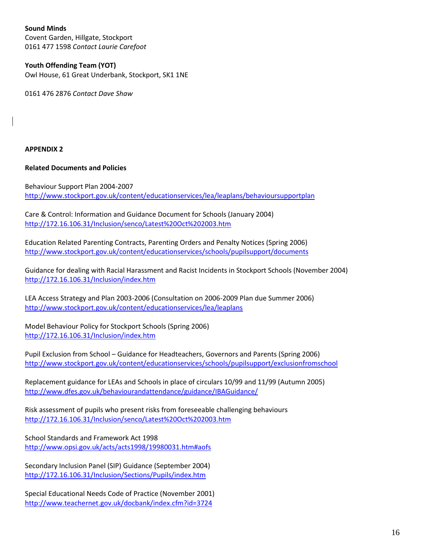**Sound Minds** Covent Garden, Hillgate, Stockport 0161 477 1598 *Contact Laurie Carefoot*

# **Youth Offending Team (YOT)**

Owl House, 61 Great Underbank, Stockport, SK1 1NE

0161 476 2876 *Contact Dave Shaw*

## **APPENDIX 2**

## **Related Documents and Policies**

Behaviour Support Plan 2004-2007 <http://www.stockport.gov.uk/content/educationservices/lea/leaplans/behavioursupportplan>

Care & Control: Information and Guidance Document for Schools (January 2004) <http://172.16.106.31/Inclusion/senco/Latest%20Oct%202003.htm>

Education Related Parenting Contracts, Parenting Orders and Penalty Notices (Spring 2006) <http://www.stockport.gov.uk/content/educationservices/schools/pupilsupport/documents>

Guidance for dealing with Racial Harassment and Racist Incidents in Stockport Schools (November 2004) <http://172.16.106.31/Inclusion/index.htm>

LEA Access Strategy and Plan 2003-2006 (Consultation on 2006-2009 Plan due Summer 2006) <http://www.stockport.gov.uk/content/educationservices/lea/leaplans>

Model Behaviour Policy for Stockport Schools (Spring 2006) <http://172.16.106.31/Inclusion/index.htm>

Pupil Exclusion from School – Guidance for Headteachers, Governors and Parents (Spring 2006) <http://www.stockport.gov.uk/content/educationservices/schools/pupilsupport/exclusionfromschool>

Replacement guidance for LEAs and Schools in place of circulars 10/99 and 11/99 (Autumn 2005) <http://www.dfes.gov.uk/behaviourandattendance/guidance/IBAGuidance/>

Risk assessment of pupils who present risks from foreseeable challenging behaviours <http://172.16.106.31/Inclusion/senco/Latest%20Oct%202003.htm>

School Standards and Framework Act 1998 <http://www.opsi.gov.uk/acts/acts1998/19980031.htm#aofs>

Secondary Inclusion Panel (SIP) Guidance (September 2004) <http://172.16.106.31/Inclusion/Sections/Pupils/index.htm>

Special Educational Needs Code of Practice (November 2001) <http://www.teachernet.gov.uk/docbank/index.cfm?id=3724>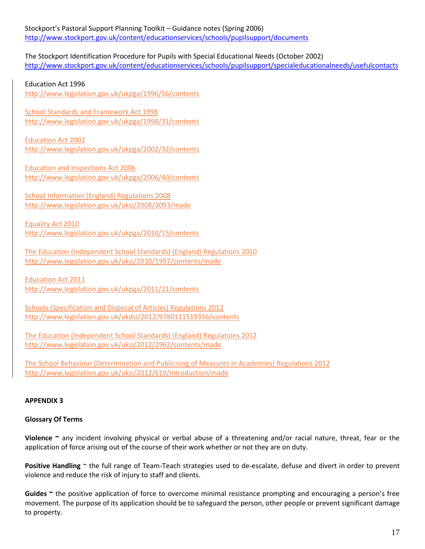The Stockport Identification Procedure for Pupils with Special Educational Needs (October 2002) <http://www.stockport.gov.uk/content/educationservices/schools/pupilsupport/specialeducationalneeds/usefulcontacts>

Education Act 1996

<http://www.legislation.gov.uk/ukpga/1996/56/contents>

School Standards and Framework Act 1998 <http://www.legislation.gov.uk/ukpga/1998/31/contents>

Education Act 2002 <http://www.legislation.gov.uk/ukpga/2002/32/contents>

Education and Inspections Act 2006 <http://www.legislation.gov.uk/ukpga/2006/40/contents>

School Information (England) Regulations 2008 <http://www.legislation.gov.uk/uksi/2008/3093/made>

Equality Act 2010 <http://www.legislation.gov.uk/ukpga/2010/15/contents>

The Education (Independent School Standards) (England) Regulations 2010 <http://www.legislation.gov.uk/uksi/2010/1997/contents/made>

Education Act 2011 <http://www.legislation.gov.uk/ukpga/2011/21/contents>

Schools (Specification and Disposal of Articles) Regulations 2012 <http://www.legislation.gov.uk/ukdsi/2012/9780111519356/contents>

The Education (Independent School Standards) (England) Regulations 2012 <http://www.legislation.gov.uk/uksi/2012/2962/contents/made>

The School Behaviour (Determination and Publicising of Measures in Academies) Regulations 2012 http://www.legislation.gov.uk/uksi/2012/619/introduction/made

# **APPENDIX 3**

# **Glossary Of Terms**

**Violence ~** any incident involving physical or verbal abuse of a threatening and/or racial nature, threat, fear or the application of force arising out of the course of their work whether or not they are on duty.

**Positive Handling** ~ the full range of Team-Teach strategies used to de-escalate, defuse and divert in order to prevent violence and reduce the risk of injury to staff and clients.

**Guides ~** the positive application of force to overcome minimal resistance prompting and encouraging a person's free movement. The purpose of its application should be to safeguard the person, other people or prevent significant damage to property.